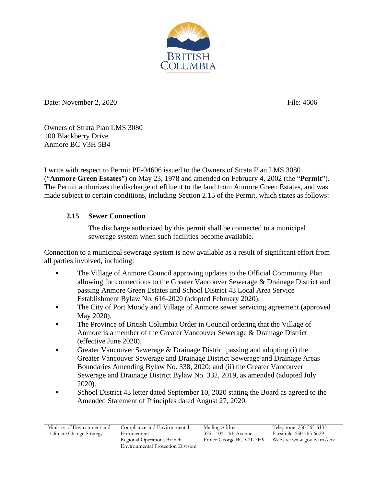

Date: November 2, 2020 File: 4606

Owners of Strata Plan LMS 3080 100 Blackberry Drive Anmore BC V3H 5B4

I write with respect to Permit PE-04606 issued to the Owners of Strata Plan LMS 3080 ("**Anmore Green Estates**") on May 23, 1978 and amended on February 4, 2002 (the "**Permit**"). The Permit authorizes the discharge of effluent to the land from Anmore Green Estates, and was made subject to certain conditions, including Section 2.15 of the Permit, which states as follows:

## **2.15 Sewer Connection**

The discharge authorized by this permit shall be connected to a municipal sewerage system when such facilities become available.

Connection to a municipal sewerage system is now available as a result of significant effort from all parties involved, including:

- The Village of Anmore Council approving updates to the Official Community Plan allowing for connections to the Greater Vancouver Sewerage & Drainage District and passing Anmore Green Estates and School District 43 Local Area Service Establishment Bylaw No. 616-2020 (adopted February 2020).
- The City of Port Moody and Village of Anmore sewer servicing agreement (approved May 2020).
- The Province of British Columbia Order in Council ordering that the Village of Anmore is a member of the Greater Vancouver Sewerage & Drainage District (effective June 2020).
- Greater Vancouver Sewerage & Drainage District passing and adopting (i) the Greater Vancouver Sewerage and Drainage District Sewerage and Drainage Areas Boundaries Amending Bylaw No. 338, 2020; and (ii) the Greater Vancouver Sewerage and Drainage District Bylaw No. 332, 2019, as amended (adopted July 2020).
- School District 43 letter dated September 10, 2020 stating the Board as agreed to the Amended Statement of Principles dated August 27, 2020.